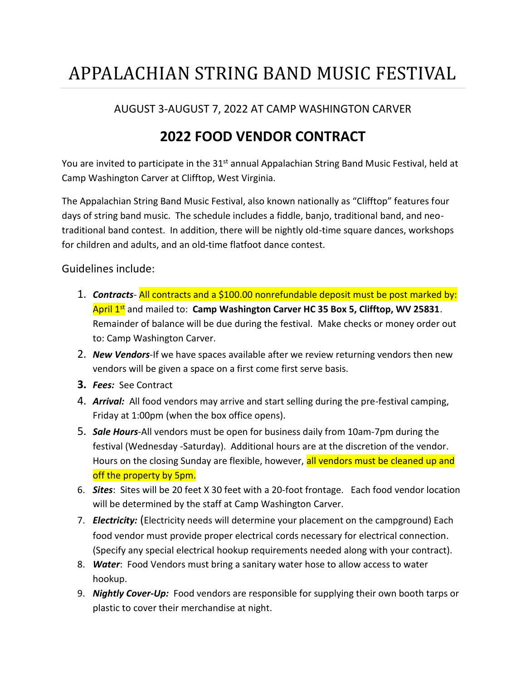## APPALACHIAN STRING BAND MUSIC FESTIVAL

#### AUGUST 3-AUGUST 7, 2022 AT CAMP WASHINGTON CARVER

### **2022 FOOD VENDOR CONTRACT**

You are invited to participate in the 31<sup>st</sup> annual Appalachian String Band Music Festival, held at Camp Washington Carver at Clifftop, West Virginia.

The Appalachian String Band Music Festival, also known nationally as "Clifftop" features four days of string band music. The schedule includes a fiddle, banjo, traditional band, and neotraditional band contest. In addition, there will be nightly old-time square dances, workshops for children and adults, and an old-time flatfoot dance contest.

Guidelines include:

- 1. *Contracts* All contracts and a \$100.00 nonrefundable deposit must be post marked by: April 1st and mailed to: **Camp Washington Carver HC 35 Box 5, Clifftop, WV 25831**. Remainder of balance will be due during the festival. Make checks or money order out to: Camp Washington Carver.
- 2. *New Vendors*-If we have spaces available after we review returning vendors then new vendors will be given a space on a first come first serve basis.
- **3.** *Fees:* See Contract
- 4. *Arrival:* All food vendors may arrive and start selling during the pre-festival camping, Friday at 1:00pm (when the box office opens).
- 5. *Sale Hours*-All vendors must be open for business daily from 10am-7pm during the festival (Wednesday -Saturday). Additional hours are at the discretion of the vendor. Hours on the closing Sunday are flexible, however, all vendors must be cleaned up and off the property by 5pm.
- 6. *Sites*: Sites will be 20 feet X 30 feet with a 20-foot frontage. Each food vendor location will be determined by the staff at Camp Washington Carver.
- 7. *Electricity:* (Electricity needs will determine your placement on the campground) Each food vendor must provide proper electrical cords necessary for electrical connection. (Specify any special electrical hookup requirements needed along with your contract).
- 8. *Water*: Food Vendors must bring a sanitary water hose to allow access to water hookup.
- 9. *Nightly Cover-Up:* Food vendors are responsible for supplying their own booth tarps or plastic to cover their merchandise at night.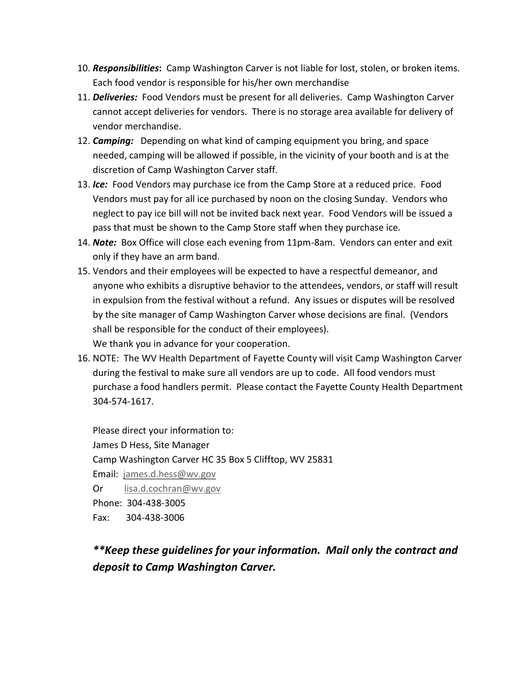- 10. *Responsibilities***:** Camp Washington Carver is not liable for lost, stolen, or broken items. Each food vendor is responsible for his/her own merchandise
- 11. *Deliveries:* Food Vendors must be present for all deliveries. Camp Washington Carver cannot accept deliveries for vendors. There is no storage area available for delivery of vendor merchandise.
- 12. *Camping:* Depending on what kind of camping equipment you bring, and space needed, camping will be allowed if possible, in the vicinity of your booth and is at the discretion of Camp Washington Carver staff.
- 13. *Ice:* Food Vendors may purchase ice from the Camp Store at a reduced price. Food Vendors must pay for all ice purchased by noon on the closing Sunday. Vendors who neglect to pay ice bill will not be invited back next year. Food Vendors will be issued a pass that must be shown to the Camp Store staff when they purchase ice.
- 14. *Note:* Box Office will close each evening from 11pm-8am. Vendors can enter and exit only if they have an arm band.
- 15. Vendors and their employees will be expected to have a respectful demeanor, and anyone who exhibits a disruptive behavior to the attendees, vendors, or staff will result in expulsion from the festival without a refund. Any issues or disputes will be resolved by the site manager of Camp Washington Carver whose decisions are final. (Vendors shall be responsible for the conduct of their employees). We thank you in advance for your cooperation.
- 16. NOTE: The WV Health Department of Fayette County will visit Camp Washington Carver during the festival to make sure all vendors are up to code. All food vendors must purchase a food handlers permit. Please contact the Fayette County Health Department 304-574-1617.

Please direct your information to: James D Hess, Site Manager Camp Washington Carver HC 35 Box 5 Clifftop, WV 25831 Email: [james.d.hess@wv.gov](mailto:james.d.hess@wv.gov) Or [lisa.d.cochran@wv.gov](mailto:lisa.d.cochran@wv.gov) Phone: 304-438-3005 Fax: 304-438-3006

### *\*\*Keep these guidelines for your information. Mail only the contract and deposit to Camp Washington Carver.*